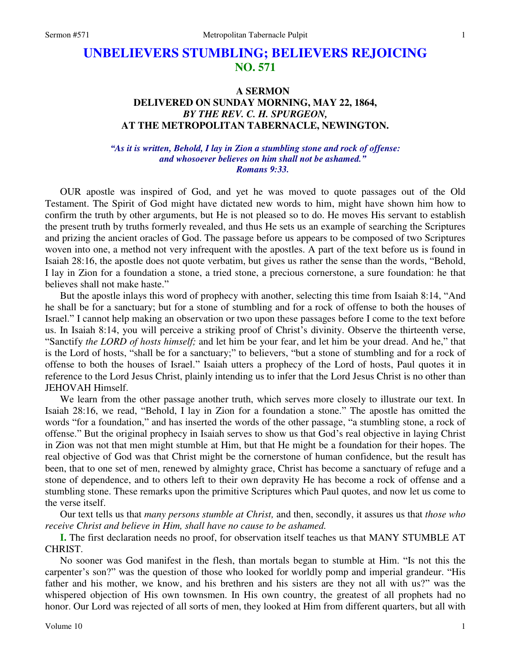# **UNBELIEVERS STUMBLING; BELIEVERS REJOICING NO. 571**

## **A SERMON DELIVERED ON SUNDAY MORNING, MAY 22, 1864,**  *BY THE REV. C. H. SPURGEON,*  **AT THE METROPOLITAN TABERNACLE, NEWINGTON.**

### *"As it is written, Behold, I lay in Zion a stumbling stone and rock of offense: and whosoever believes on him shall not be ashamed." Romans 9:33.*

OUR apostle was inspired of God, and yet he was moved to quote passages out of the Old Testament. The Spirit of God might have dictated new words to him, might have shown him how to confirm the truth by other arguments, but He is not pleased so to do. He moves His servant to establish the present truth by truths formerly revealed, and thus He sets us an example of searching the Scriptures and prizing the ancient oracles of God. The passage before us appears to be composed of two Scriptures woven into one, a method not very infrequent with the apostles. A part of the text before us is found in Isaiah 28:16, the apostle does not quote verbatim, but gives us rather the sense than the words, "Behold, I lay in Zion for a foundation a stone, a tried stone, a precious cornerstone, a sure foundation: he that believes shall not make haste."

But the apostle inlays this word of prophecy with another, selecting this time from Isaiah 8:14, "And he shall be for a sanctuary; but for a stone of stumbling and for a rock of offense to both the houses of Israel." I cannot help making an observation or two upon these passages before I come to the text before us. In Isaiah 8:14, you will perceive a striking proof of Christ's divinity. Observe the thirteenth verse, "Sanctify *the LORD of hosts himself;* and let him be your fear, and let him be your dread. And he," that is the Lord of hosts, "shall be for a sanctuary;" to believers, "but a stone of stumbling and for a rock of offense to both the houses of Israel." Isaiah utters a prophecy of the Lord of hosts, Paul quotes it in reference to the Lord Jesus Christ, plainly intending us to infer that the Lord Jesus Christ is no other than JEHOVAH Himself.

We learn from the other passage another truth, which serves more closely to illustrate our text. In Isaiah 28:16, we read, "Behold, I lay in Zion for a foundation a stone." The apostle has omitted the words "for a foundation," and has inserted the words of the other passage, "a stumbling stone, a rock of offense." But the original prophecy in Isaiah serves to show us that God's real objective in laying Christ in Zion was not that men might stumble at Him, but that He might be a foundation for their hopes. The real objective of God was that Christ might be the cornerstone of human confidence, but the result has been, that to one set of men, renewed by almighty grace, Christ has become a sanctuary of refuge and a stone of dependence, and to others left to their own depravity He has become a rock of offense and a stumbling stone. These remarks upon the primitive Scriptures which Paul quotes, and now let us come to the verse itself.

Our text tells us that *many persons stumble at Christ,* and then, secondly, it assures us that *those who receive Christ and believe in Him, shall have no cause to be ashamed.* 

**I.** The first declaration needs no proof, for observation itself teaches us that MANY STUMBLE AT CHRIST.

No sooner was God manifest in the flesh, than mortals began to stumble at Him. "Is not this the carpenter's son?" was the question of those who looked for worldly pomp and imperial grandeur. "His father and his mother, we know, and his brethren and his sisters are they not all with us?" was the whispered objection of His own townsmen. In His own country, the greatest of all prophets had no honor. Our Lord was rejected of all sorts of men, they looked at Him from different quarters, but all with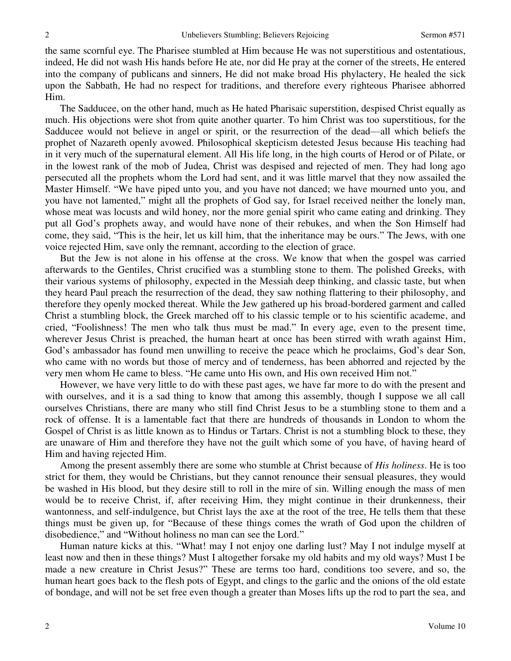the same scornful eye. The Pharisee stumbled at Him because He was not superstitious and ostentatious, indeed, He did not wash His hands before He ate, nor did He pray at the corner of the streets, He entered into the company of publicans and sinners, He did not make broad His phylactery, He healed the sick upon the Sabbath, He had no respect for traditions, and therefore every righteous Pharisee abhorred Him.

The Sadducee, on the other hand, much as He hated Pharisaic superstition, despised Christ equally as much. His objections were shot from quite another quarter. To him Christ was too superstitious, for the Sadducee would not believe in angel or spirit, or the resurrection of the dead—all which beliefs the prophet of Nazareth openly avowed. Philosophical skepticism detested Jesus because His teaching had in it very much of the supernatural element. All His life long, in the high courts of Herod or of Pilate, or in the lowest rank of the mob of Judea, Christ was despised and rejected of men. They had long ago persecuted all the prophets whom the Lord had sent, and it was little marvel that they now assailed the Master Himself. "We have piped unto you, and you have not danced; we have mourned unto you, and you have not lamented," might all the prophets of God say, for Israel received neither the lonely man, whose meat was locusts and wild honey, nor the more genial spirit who came eating and drinking. They put all God's prophets away, and would have none of their rebukes, and when the Son Himself had come, they said, "This is the heir, let us kill him, that the inheritance may be ours." The Jews, with one voice rejected Him, save only the remnant, according to the election of grace.

But the Jew is not alone in his offense at the cross. We know that when the gospel was carried afterwards to the Gentiles, Christ crucified was a stumbling stone to them. The polished Greeks, with their various systems of philosophy, expected in the Messiah deep thinking, and classic taste, but when they heard Paul preach the resurrection of the dead, they saw nothing flattering to their philosophy, and therefore they openly mocked thereat. While the Jew gathered up his broad-bordered garment and called Christ a stumbling block, the Greek marched off to his classic temple or to his scientific academe, and cried, "Foolishness! The men who talk thus must be mad." In every age, even to the present time, wherever Jesus Christ is preached, the human heart at once has been stirred with wrath against Him, God's ambassador has found men unwilling to receive the peace which he proclaims, God's dear Son, who came with no words but those of mercy and of tenderness, has been abhorred and rejected by the very men whom He came to bless. "He came unto His own, and His own received Him not."

However, we have very little to do with these past ages, we have far more to do with the present and with ourselves, and it is a sad thing to know that among this assembly, though I suppose we all call ourselves Christians, there are many who still find Christ Jesus to be a stumbling stone to them and a rock of offense. It is a lamentable fact that there are hundreds of thousands in London to whom the Gospel of Christ is as little known as to Hindus or Tartars. Christ is not a stumbling block to these, they are unaware of Him and therefore they have not the guilt which some of you have, of having heard of Him and having rejected Him.

Among the present assembly there are some who stumble at Christ because of *His holiness*. He is too strict for them, they would be Christians, but they cannot renounce their sensual pleasures, they would be washed in His blood, but they desire still to roll in the mire of sin. Willing enough the mass of men would be to receive Christ, if, after receiving Him, they might continue in their drunkenness, their wantonness, and self-indulgence, but Christ lays the axe at the root of the tree, He tells them that these things must be given up, for "Because of these things comes the wrath of God upon the children of disobedience," and "Without holiness no man can see the Lord."

Human nature kicks at this. "What! may I not enjoy one darling lust? May I not indulge myself at least now and then in these things? Must I altogether forsake my old habits and my old ways? Must I be made a new creature in Christ Jesus?" These are terms too hard, conditions too severe, and so, the human heart goes back to the flesh pots of Egypt, and clings to the garlic and the onions of the old estate of bondage, and will not be set free even though a greater than Moses lifts up the rod to part the sea, and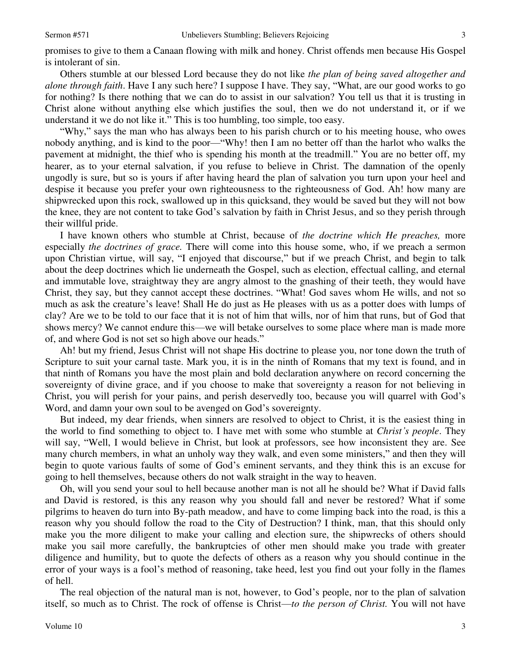promises to give to them a Canaan flowing with milk and honey. Christ offends men because His Gospel is intolerant of sin.

Others stumble at our blessed Lord because they do not like *the plan of being saved altogether and alone through faith*. Have I any such here? I suppose I have. They say, "What, are our good works to go for nothing? Is there nothing that we can do to assist in our salvation? You tell us that it is trusting in Christ alone without anything else which justifies the soul, then we do not understand it, or if we understand it we do not like it." This is too humbling, too simple, too easy.

"Why," says the man who has always been to his parish church or to his meeting house, who owes nobody anything, and is kind to the poor—"Why! then I am no better off than the harlot who walks the pavement at midnight, the thief who is spending his month at the treadmill." You are no better off, my hearer, as to your eternal salvation, if you refuse to believe in Christ. The damnation of the openly ungodly is sure, but so is yours if after having heard the plan of salvation you turn upon your heel and despise it because you prefer your own righteousness to the righteousness of God. Ah! how many are shipwrecked upon this rock, swallowed up in this quicksand, they would be saved but they will not bow the knee, they are not content to take God's salvation by faith in Christ Jesus, and so they perish through their willful pride.

I have known others who stumble at Christ, because of *the doctrine which He preaches,* more especially *the doctrines of grace.* There will come into this house some, who, if we preach a sermon upon Christian virtue, will say, "I enjoyed that discourse," but if we preach Christ, and begin to talk about the deep doctrines which lie underneath the Gospel, such as election, effectual calling, and eternal and immutable love, straightway they are angry almost to the gnashing of their teeth, they would have Christ, they say, but they cannot accept these doctrines. "What! God saves whom He wills, and not so much as ask the creature's leave! Shall He do just as He pleases with us as a potter does with lumps of clay? Are we to be told to our face that it is not of him that wills, nor of him that runs, but of God that shows mercy? We cannot endure this—we will betake ourselves to some place where man is made more of, and where God is not set so high above our heads."

Ah! but my friend, Jesus Christ will not shape His doctrine to please you, nor tone down the truth of Scripture to suit your carnal taste. Mark you, it is in the ninth of Romans that my text is found, and in that ninth of Romans you have the most plain and bold declaration anywhere on record concerning the sovereignty of divine grace, and if you choose to make that sovereignty a reason for not believing in Christ, you will perish for your pains, and perish deservedly too, because you will quarrel with God's Word, and damn your own soul to be avenged on God's sovereignty.

But indeed, my dear friends, when sinners are resolved to object to Christ, it is the easiest thing in the world to find something to object to. I have met with some who stumble at *Christ's people*. They will say, "Well, I would believe in Christ, but look at professors, see how inconsistent they are. See many church members, in what an unholy way they walk, and even some ministers," and then they will begin to quote various faults of some of God's eminent servants, and they think this is an excuse for going to hell themselves, because others do not walk straight in the way to heaven.

Oh, will you send your soul to hell because another man is not all he should be? What if David falls and David is restored, is this any reason why you should fall and never be restored? What if some pilgrims to heaven do turn into By-path meadow, and have to come limping back into the road, is this a reason why you should follow the road to the City of Destruction? I think, man, that this should only make you the more diligent to make your calling and election sure, the shipwrecks of others should make you sail more carefully, the bankruptcies of other men should make you trade with greater diligence and humility, but to quote the defects of others as a reason why you should continue in the error of your ways is a fool's method of reasoning, take heed, lest you find out your folly in the flames of hell.

The real objection of the natural man is not, however, to God's people, nor to the plan of salvation itself, so much as to Christ. The rock of offense is Christ—*to the person of Christ.* You will not have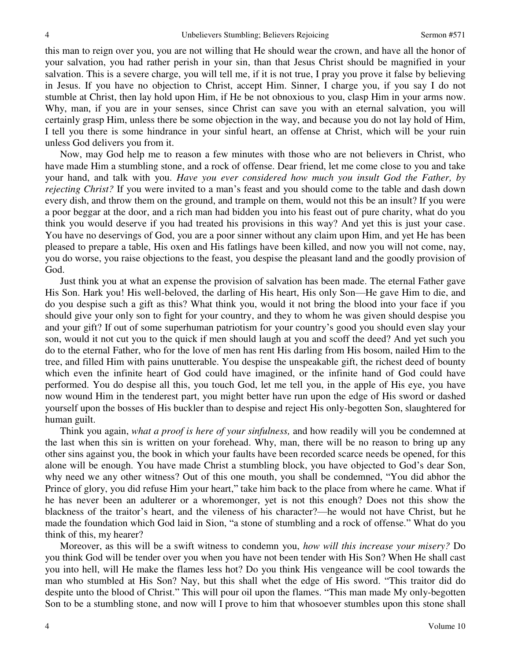this man to reign over you, you are not willing that He should wear the crown, and have all the honor of your salvation, you had rather perish in your sin, than that Jesus Christ should be magnified in your salvation. This is a severe charge, you will tell me, if it is not true, I pray you prove it false by believing in Jesus. If you have no objection to Christ, accept Him. Sinner, I charge you, if you say I do not stumble at Christ, then lay hold upon Him, if He be not obnoxious to you, clasp Him in your arms now. Why, man, if you are in your senses, since Christ can save you with an eternal salvation, you will certainly grasp Him, unless there be some objection in the way, and because you do not lay hold of Him, I tell you there is some hindrance in your sinful heart, an offense at Christ, which will be your ruin unless God delivers you from it.

Now, may God help me to reason a few minutes with those who are not believers in Christ, who have made Him a stumbling stone, and a rock of offense. Dear friend, let me come close to you and take your hand, and talk with you. *Have you ever considered how much you insult God the Father, by rejecting Christ?* If you were invited to a man's feast and you should come to the table and dash down every dish, and throw them on the ground, and trample on them, would not this be an insult? If you were a poor beggar at the door, and a rich man had bidden you into his feast out of pure charity, what do you think you would deserve if you had treated his provisions in this way? And yet this is just your case. You have no deservings of God, you are a poor sinner without any claim upon Him, and yet He has been pleased to prepare a table, His oxen and His fatlings have been killed, and now you will not come, nay, you do worse, you raise objections to the feast, you despise the pleasant land and the goodly provision of God.

Just think you at what an expense the provision of salvation has been made. The eternal Father gave His Son. Hark you! His well-beloved, the darling of His heart, His only Son—He gave Him to die, and do you despise such a gift as this? What think you, would it not bring the blood into your face if you should give your only son to fight for your country, and they to whom he was given should despise you and your gift? If out of some superhuman patriotism for your country's good you should even slay your son, would it not cut you to the quick if men should laugh at you and scoff the deed? And yet such you do to the eternal Father, who for the love of men has rent His darling from His bosom, nailed Him to the tree, and filled Him with pains unutterable. You despise the unspeakable gift, the richest deed of bounty which even the infinite heart of God could have imagined, or the infinite hand of God could have performed. You do despise all this, you touch God, let me tell you, in the apple of His eye, you have now wound Him in the tenderest part, you might better have run upon the edge of His sword or dashed yourself upon the bosses of His buckler than to despise and reject His only-begotten Son, slaughtered for human guilt.

Think you again, *what a proof is here of your sinfulness,* and how readily will you be condemned at the last when this sin is written on your forehead. Why, man, there will be no reason to bring up any other sins against you, the book in which your faults have been recorded scarce needs be opened, for this alone will be enough. You have made Christ a stumbling block, you have objected to God's dear Son, why need we any other witness? Out of this one mouth, you shall be condemned, "You did abhor the Prince of glory, you did refuse Him your heart," take him back to the place from where he came. What if he has never been an adulterer or a whoremonger, yet is not this enough? Does not this show the blackness of the traitor's heart, and the vileness of his character?—he would not have Christ, but he made the foundation which God laid in Sion, "a stone of stumbling and a rock of offense." What do you think of this, my hearer?

Moreover, as this will be a swift witness to condemn you, *how will this increase your misery?* Do you think God will be tender over you when you have not been tender with His Son? When He shall cast you into hell, will He make the flames less hot? Do you think His vengeance will be cool towards the man who stumbled at His Son? Nay, but this shall whet the edge of His sword. "This traitor did do despite unto the blood of Christ." This will pour oil upon the flames. "This man made My only-begotten Son to be a stumbling stone, and now will I prove to him that whosoever stumbles upon this stone shall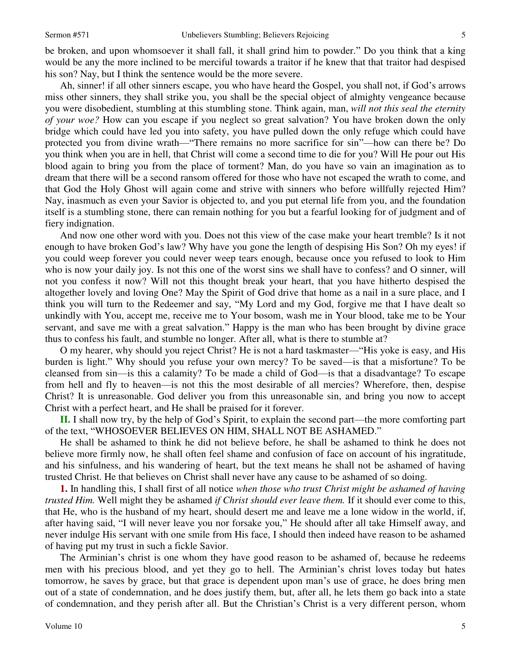Ah, sinner! if all other sinners escape, you who have heard the Gospel, you shall not, if God's arrows miss other sinners, they shall strike you, you shall be the special object of almighty vengeance because you were disobedient, stumbling at this stumbling stone. Think again, man, *will not this seal the eternity of your woe?* How can you escape if you neglect so great salvation? You have broken down the only bridge which could have led you into safety, you have pulled down the only refuge which could have protected you from divine wrath—"There remains no more sacrifice for sin"—how can there be? Do you think when you are in hell, that Christ will come a second time to die for you? Will He pour out His blood again to bring you from the place of torment? Man, do you have so vain an imagination as to dream that there will be a second ransom offered for those who have not escaped the wrath to come, and that God the Holy Ghost will again come and strive with sinners who before willfully rejected Him? Nay, inasmuch as even your Savior is objected to, and you put eternal life from you, and the foundation itself is a stumbling stone, there can remain nothing for you but a fearful looking for of judgment and of fiery indignation.

And now one other word with you. Does not this view of the case make your heart tremble? Is it not enough to have broken God's law? Why have you gone the length of despising His Son? Oh my eyes! if you could weep forever you could never weep tears enough, because once you refused to look to Him who is now your daily joy. Is not this one of the worst sins we shall have to confess? and O sinner, will not you confess it now? Will not this thought break your heart, that you have hitherto despised the altogether lovely and loving One? May the Spirit of God drive that home as a nail in a sure place, and I think you will turn to the Redeemer and say, "My Lord and my God, forgive me that I have dealt so unkindly with You, accept me, receive me to Your bosom, wash me in Your blood, take me to be Your servant, and save me with a great salvation." Happy is the man who has been brought by divine grace thus to confess his fault, and stumble no longer. After all, what is there to stumble at?

O my hearer, why should you reject Christ? He is not a hard taskmaster—"His yoke is easy, and His burden is light." Why should you refuse your own mercy? To be saved—is that a misfortune? To be cleansed from sin—is this a calamity? To be made a child of God—is that a disadvantage? To escape from hell and fly to heaven—is not this the most desirable of all mercies? Wherefore, then, despise Christ? It is unreasonable. God deliver you from this unreasonable sin, and bring you now to accept Christ with a perfect heart, and He shall be praised for it forever.

**II.** I shall now try, by the help of God's Spirit, to explain the second part—the more comforting part of the text, "WHOSOEVER BELIEVES ON HIM, SHALL NOT BE ASHAMED."

He shall be ashamed to think he did not believe before, he shall be ashamed to think he does not believe more firmly now, he shall often feel shame and confusion of face on account of his ingratitude, and his sinfulness, and his wandering of heart, but the text means he shall not be ashamed of having trusted Christ. He that believes on Christ shall never have any cause to be ashamed of so doing.

**1.** In handling this, I shall first of all notice *when those who trust Christ might be ashamed of having trusted Him.* Well might they be ashamed *if Christ should ever leave them.* If it should ever come to this, that He, who is the husband of my heart, should desert me and leave me a lone widow in the world, if, after having said, "I will never leave you nor forsake you," He should after all take Himself away, and never indulge His servant with one smile from His face, I should then indeed have reason to be ashamed of having put my trust in such a fickle Savior.

The Arminian's christ is one whom they have good reason to be ashamed of, because he redeems men with his precious blood, and yet they go to hell. The Arminian's christ loves today but hates tomorrow, he saves by grace, but that grace is dependent upon man's use of grace, he does bring men out of a state of condemnation, and he does justify them, but, after all, he lets them go back into a state of condemnation, and they perish after all. But the Christian's Christ is a very different person, whom

Volume 10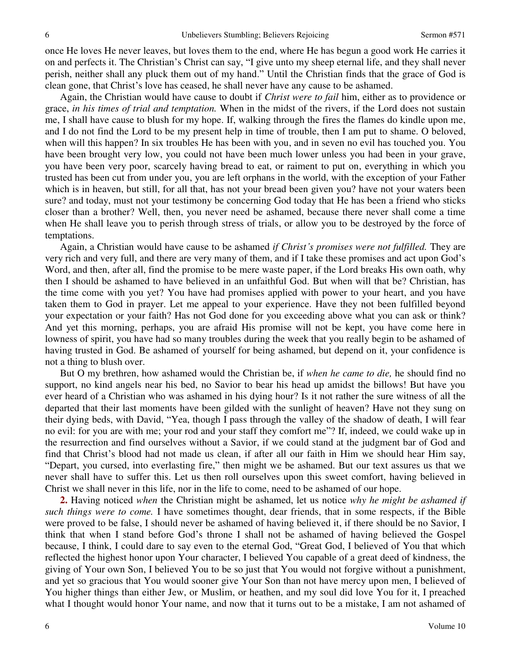once He loves He never leaves, but loves them to the end, where He has begun a good work He carries it on and perfects it. The Christian's Christ can say, "I give unto my sheep eternal life, and they shall never perish, neither shall any pluck them out of my hand." Until the Christian finds that the grace of God is clean gone, that Christ's love has ceased, he shall never have any cause to be ashamed.

Again, the Christian would have cause to doubt if *Christ were to fail* him, either as to providence or grace, *in his times of trial and temptation.* When in the midst of the rivers, if the Lord does not sustain me, I shall have cause to blush for my hope. If, walking through the fires the flames do kindle upon me, and I do not find the Lord to be my present help in time of trouble, then I am put to shame. O beloved, when will this happen? In six troubles He has been with you, and in seven no evil has touched you. You have been brought very low, you could not have been much lower unless you had been in your grave, you have been very poor, scarcely having bread to eat, or raiment to put on, everything in which you trusted has been cut from under you, you are left orphans in the world, with the exception of your Father which is in heaven, but still, for all that, has not your bread been given you? have not your waters been sure? and today, must not your testimony be concerning God today that He has been a friend who sticks closer than a brother? Well, then, you never need be ashamed, because there never shall come a time when He shall leave you to perish through stress of trials, or allow you to be destroyed by the force of temptations.

Again, a Christian would have cause to be ashamed *if Christ's promises were not fulfilled.* They are very rich and very full, and there are very many of them, and if I take these promises and act upon God's Word, and then, after all, find the promise to be mere waste paper, if the Lord breaks His own oath, why then I should be ashamed to have believed in an unfaithful God. But when will that be? Christian, has the time come with you yet? You have had promises applied with power to your heart, and you have taken them to God in prayer. Let me appeal to your experience. Have they not been fulfilled beyond your expectation or your faith? Has not God done for you exceeding above what you can ask or think? And yet this morning, perhaps, you are afraid His promise will not be kept, you have come here in lowness of spirit, you have had so many troubles during the week that you really begin to be ashamed of having trusted in God. Be ashamed of yourself for being ashamed, but depend on it, your confidence is not a thing to blush over.

But O my brethren, how ashamed would the Christian be, if *when he came to die,* he should find no support, no kind angels near his bed, no Savior to bear his head up amidst the billows! But have you ever heard of a Christian who was ashamed in his dying hour? Is it not rather the sure witness of all the departed that their last moments have been gilded with the sunlight of heaven? Have not they sung on their dying beds, with David, "Yea, though I pass through the valley of the shadow of death, I will fear no evil: for you are with me; your rod and your staff they comfort me"? If, indeed, we could wake up in the resurrection and find ourselves without a Savior, if we could stand at the judgment bar of God and find that Christ's blood had not made us clean, if after all our faith in Him we should hear Him say, "Depart, you cursed, into everlasting fire," then might we be ashamed. But our text assures us that we never shall have to suffer this. Let us then roll ourselves upon this sweet comfort, having believed in Christ we shall never in this life, nor in the life to come, need to be ashamed of our hope.

**2.** Having noticed *when* the Christian might be ashamed, let us notice *why he might be ashamed if such things were to come.* I have sometimes thought, dear friends, that in some respects, if the Bible were proved to be false, I should never be ashamed of having believed it, if there should be no Savior, I think that when I stand before God's throne I shall not be ashamed of having believed the Gospel because, I think, I could dare to say even to the eternal God, "Great God, I believed of You that which reflected the highest honor upon Your character, I believed You capable of a great deed of kindness, the giving of Your own Son, I believed You to be so just that You would not forgive without a punishment, and yet so gracious that You would sooner give Your Son than not have mercy upon men, I believed of You higher things than either Jew, or Muslim, or heathen, and my soul did love You for it, I preached what I thought would honor Your name, and now that it turns out to be a mistake, I am not ashamed of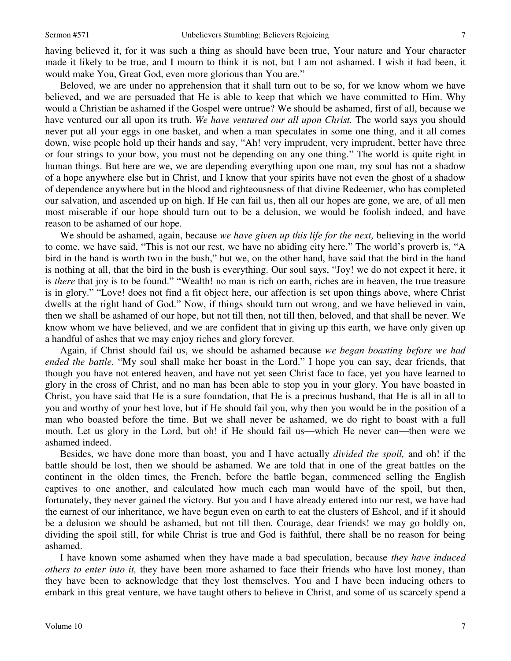having believed it, for it was such a thing as should have been true, Your nature and Your character made it likely to be true, and I mourn to think it is not, but I am not ashamed. I wish it had been, it would make You, Great God, even more glorious than You are."

Beloved, we are under no apprehension that it shall turn out to be so, for we know whom we have believed, and we are persuaded that He is able to keep that which we have committed to Him. Why would a Christian be ashamed if the Gospel were untrue? We should be ashamed, first of all, because we have ventured our all upon its truth. *We have ventured our all upon Christ.* The world says you should never put all your eggs in one basket, and when a man speculates in some one thing, and it all comes down, wise people hold up their hands and say, "Ah! very imprudent, very imprudent, better have three or four strings to your bow, you must not be depending on any one thing." The world is quite right in human things. But here are we, we are depending everything upon one man, my soul has not a shadow of a hope anywhere else but in Christ, and I know that your spirits have not even the ghost of a shadow of dependence anywhere but in the blood and righteousness of that divine Redeemer, who has completed our salvation, and ascended up on high. If He can fail us, then all our hopes are gone, we are, of all men most miserable if our hope should turn out to be a delusion, we would be foolish indeed, and have reason to be ashamed of our hope.

We should be ashamed, again, because *we have given up this life for the next,* believing in the world to come, we have said, "This is not our rest, we have no abiding city here." The world's proverb is, "A bird in the hand is worth two in the bush," but we, on the other hand, have said that the bird in the hand is nothing at all, that the bird in the bush is everything. Our soul says, "Joy! we do not expect it here, it is *there* that joy is to be found." "Wealth! no man is rich on earth, riches are in heaven, the true treasure is in glory." "Love! does not find a fit object here, our affection is set upon things above, where Christ dwells at the right hand of God." Now, if things should turn out wrong, and we have believed in vain, then we shall be ashamed of our hope, but not till then, not till then, beloved, and that shall be never. We know whom we have believed, and we are confident that in giving up this earth, we have only given up a handful of ashes that we may enjoy riches and glory forever*.*

Again, if Christ should fail us, we should be ashamed because *we began boasting before we had ended the battle.* "My soul shall make her boast in the Lord." I hope you can say, dear friends, that though you have not entered heaven, and have not yet seen Christ face to face, yet you have learned to glory in the cross of Christ, and no man has been able to stop you in your glory. You have boasted in Christ, you have said that He is a sure foundation, that He is a precious husband, that He is all in all to you and worthy of your best love, but if He should fail you, why then you would be in the position of a man who boasted before the time. But we shall never be ashamed, we do right to boast with a full mouth. Let us glory in the Lord, but oh! if He should fail us—which He never can—then were we ashamed indeed.

Besides, we have done more than boast, you and I have actually *divided the spoil,* and oh! if the battle should be lost, then we should be ashamed. We are told that in one of the great battles on the continent in the olden times, the French, before the battle began, commenced selling the English captives to one another, and calculated how much each man would have of the spoil, but then, fortunately, they never gained the victory. But you and I have already entered into our rest, we have had the earnest of our inheritance, we have begun even on earth to eat the clusters of Eshcol, and if it should be a delusion we should be ashamed, but not till then. Courage, dear friends! we may go boldly on, dividing the spoil still, for while Christ is true and God is faithful, there shall be no reason for being ashamed.

I have known some ashamed when they have made a bad speculation, because *they have induced others to enter into it,* they have been more ashamed to face their friends who have lost money, than they have been to acknowledge that they lost themselves. You and I have been inducing others to embark in this great venture, we have taught others to believe in Christ, and some of us scarcely spend a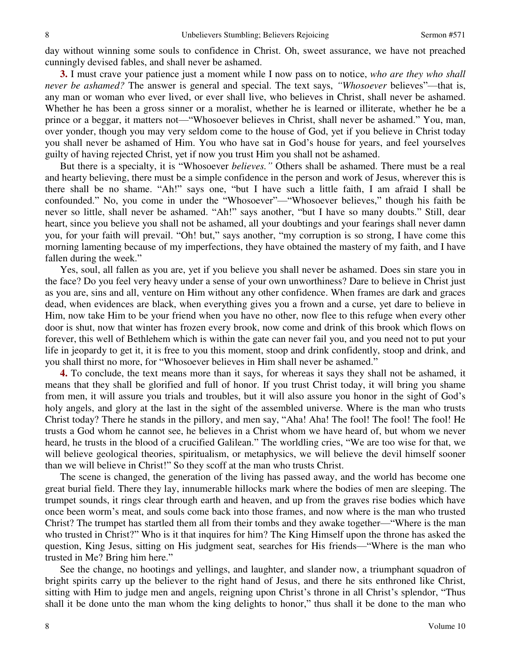day without winning some souls to confidence in Christ. Oh, sweet assurance, we have not preached cunningly devised fables, and shall never be ashamed.

**3.** I must crave your patience just a moment while I now pass on to notice, *who are they who shall never be ashamed?* The answer is general and special. The text says, *"Whosoever* believes"—that is, any man or woman who ever lived, or ever shall live, who believes in Christ, shall never be ashamed. Whether he has been a gross sinner or a moralist, whether he is learned or illiterate, whether he be a prince or a beggar, it matters not—"Whosoever believes in Christ, shall never be ashamed." You, man, over yonder, though you may very seldom come to the house of God, yet if you believe in Christ today you shall never be ashamed of Him. You who have sat in God's house for years, and feel yourselves guilty of having rejected Christ, yet if now you trust Him you shall not be ashamed.

But there is a specialty, it is "Whosoever *believes."* Others shall be ashamed. There must be a real and hearty believing, there must be a simple confidence in the person and work of Jesus, wherever this is there shall be no shame. "Ah!" says one, "but I have such a little faith, I am afraid I shall be confounded." No, you come in under the "Whosoever"—"Whosoever believes," though his faith be never so little, shall never be ashamed. "Ah!" says another, "but I have so many doubts." Still, dear heart, since you believe you shall not be ashamed, all your doubtings and your fearings shall never damn you, for your faith will prevail. "Oh! but," says another, "my corruption is so strong, I have come this morning lamenting because of my imperfections, they have obtained the mastery of my faith, and I have fallen during the week."

Yes, soul, all fallen as you are, yet if you believe you shall never be ashamed. Does sin stare you in the face? Do you feel very heavy under a sense of your own unworthiness? Dare to believe in Christ just as you are, sins and all, venture on Him without any other confidence. When frames are dark and graces dead, when evidences are black, when everything gives you a frown and a curse, yet dare to believe in Him, now take Him to be your friend when you have no other, now flee to this refuge when every other door is shut, now that winter has frozen every brook, now come and drink of this brook which flows on forever, this well of Bethlehem which is within the gate can never fail you, and you need not to put your life in jeopardy to get it, it is free to you this moment, stoop and drink confidently, stoop and drink, and you shall thirst no more, for "Whosoever believes in Him shall never be ashamed."

**4.** To conclude, the text means more than it says, for whereas it says they shall not be ashamed, it means that they shall be glorified and full of honor. If you trust Christ today, it will bring you shame from men, it will assure you trials and troubles, but it will also assure you honor in the sight of God's holy angels, and glory at the last in the sight of the assembled universe. Where is the man who trusts Christ today? There he stands in the pillory, and men say, "Aha! Aha! The fool! The fool! The fool! He trusts a God whom he cannot see, he believes in a Christ whom we have heard of, but whom we never heard, he trusts in the blood of a crucified Galilean." The worldling cries, "We are too wise for that, we will believe geological theories, spiritualism, or metaphysics, we will believe the devil himself sooner than we will believe in Christ!" So they scoff at the man who trusts Christ.

The scene is changed, the generation of the living has passed away, and the world has become one great burial field. There they lay, innumerable hillocks mark where the bodies of men are sleeping. The trumpet sounds, it rings clear through earth and heaven, and up from the graves rise bodies which have once been worm's meat, and souls come back into those frames, and now where is the man who trusted Christ? The trumpet has startled them all from their tombs and they awake together—"Where is the man who trusted in Christ?" Who is it that inquires for him? The King Himself upon the throne has asked the question, King Jesus, sitting on His judgment seat, searches for His friends—"Where is the man who trusted in Me? Bring him here."

See the change, no hootings and yellings, and laughter, and slander now, a triumphant squadron of bright spirits carry up the believer to the right hand of Jesus, and there he sits enthroned like Christ, sitting with Him to judge men and angels, reigning upon Christ's throne in all Christ's splendor, "Thus shall it be done unto the man whom the king delights to honor," thus shall it be done to the man who

8

8